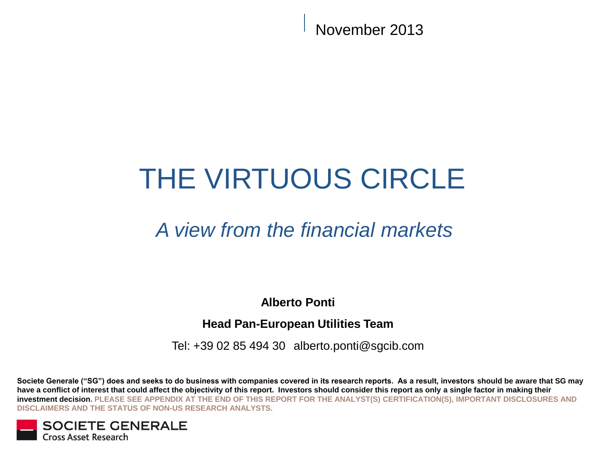November 2013

# THE VIRTUOUS CIRCLE

# *A view from the financial markets*

**Alberto Ponti**

## **Head Pan-European Utilities Team**

Tel: +39 02 85 494 30 alberto.ponti@sgcib.com

**Societe Generale ("SG") does and seeks to do business with companies covered in its research reports. As a result, investors should be aware that SG may have a conflict of interest that could affect the objectivity of this report. Investors should consider this report as only a single factor in making their investment decision. PLEASE SEE APPENDIX AT THE END OF THIS REPORT FOR THE ANALYST(S) CERTIFICATION(S), IMPORTANT DISCLOSURES AND DISCLAIMERS AND THE STATUS OF NON-US RESEARCH ANALYSTS.**

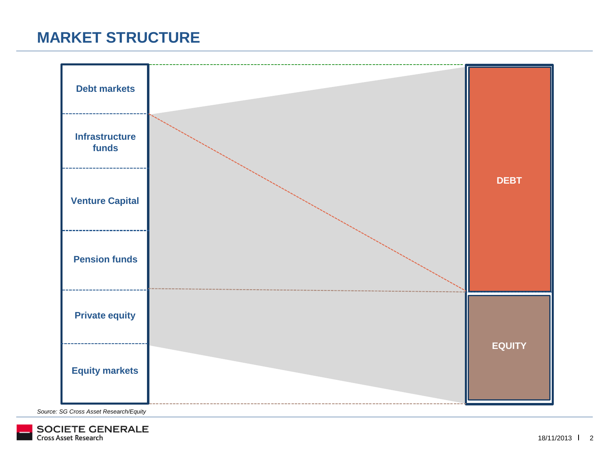# **MARKET STRUCTURE**



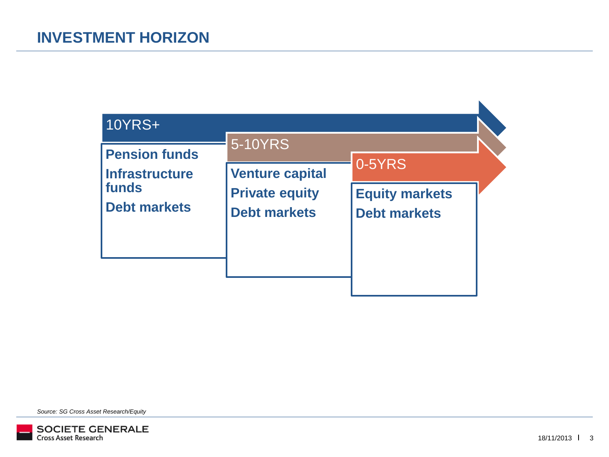| <b>10YRS+</b>                                 |                                              |                                              |  |
|-----------------------------------------------|----------------------------------------------|----------------------------------------------|--|
| <b>Pension funds</b><br><b>Infrastructure</b> | 5-10YRS<br><b>Venture capital</b>            | 0-5YRS                                       |  |
| funds<br><b>Debt markets</b>                  | <b>Private equity</b><br><b>Debt markets</b> | <b>Equity markets</b><br><b>Debt markets</b> |  |
|                                               |                                              |                                              |  |

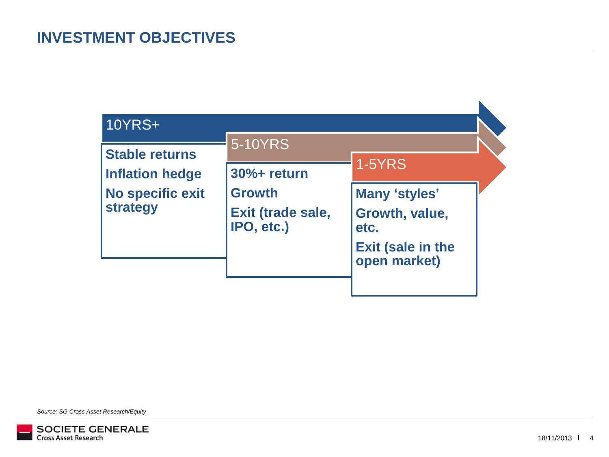| <b>10YRS+</b>                |                                 |                                          |  |
|------------------------------|---------------------------------|------------------------------------------|--|
| <b>Stable returns</b>        | 5-10YRS                         |                                          |  |
| <b>Inflation hedge</b>       | 30%+ return                     | <b>1-5YRS</b>                            |  |
| No specific exit<br>strategy | <b>Growth</b>                   | Many 'styles'                            |  |
|                              | Exit (trade sale,<br>IPO, etc.) | Growth, value,<br>etc.                   |  |
|                              |                                 | <b>Exit (sale in the</b><br>open market) |  |

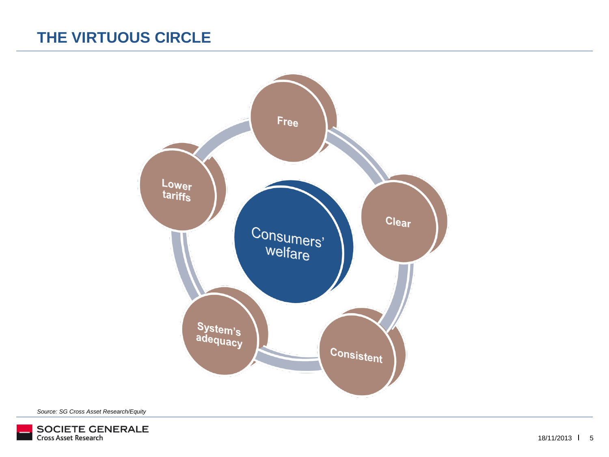# **THE VIRTUOUS CIRCLE**



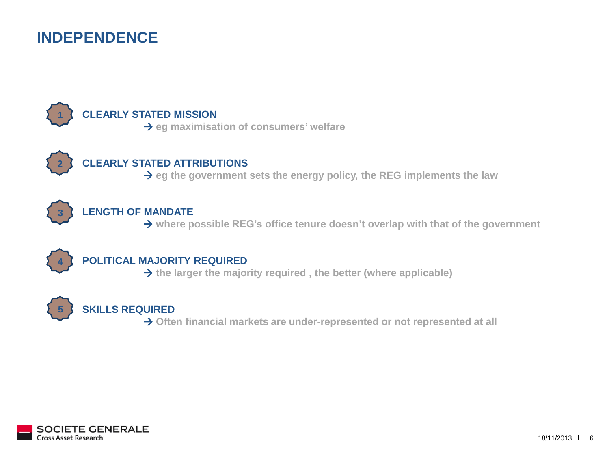# **INDEPENDENCE**



#### **CLEARLY STATED MISSION**

**eg maximisation of consumers' welfare**



### **CLEARLY STATED ATTRIBUTIONS**

**eg the government sets the energy policy, the REG implements the law**



#### **LENGTH OF MANDATE**

**where possible REG's office tenure doesn't overlap with that of the government**



#### **POLITICAL MAJORITY REQUIRED**

**the larger the majority required , the better (where applicable)**



#### **SKILLS REQUIRED**

**Often financial markets are under-represented or not represented at all**

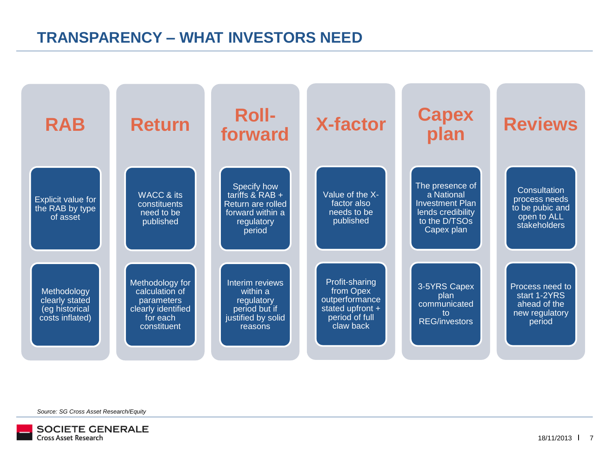# **TRANSPARENCY – WHAT INVESTORS NEED**



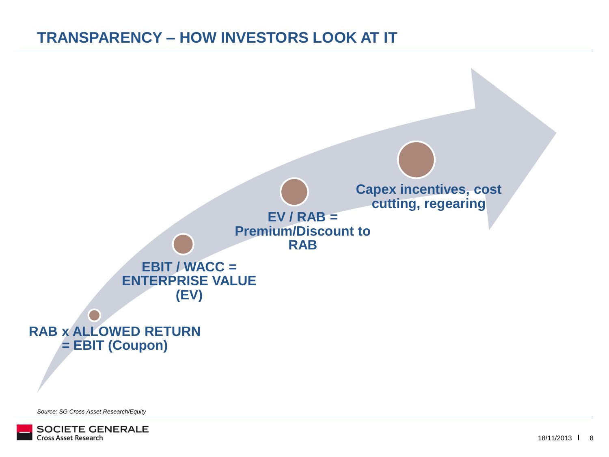# **TRANSPARENCY – HOW INVESTORS LOOK AT IT**



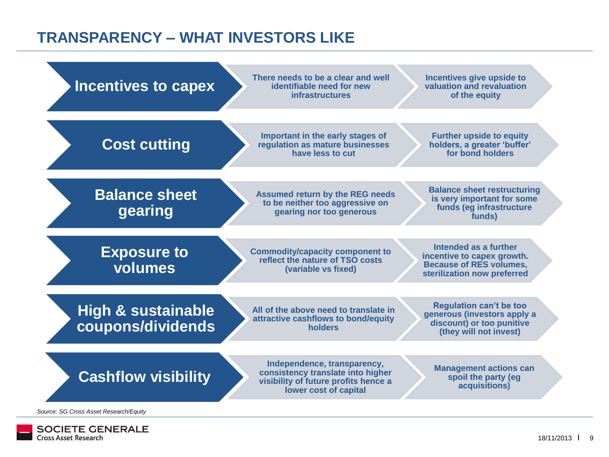# **TRANSPARENCY – WHAT INVESTORS LIKE**



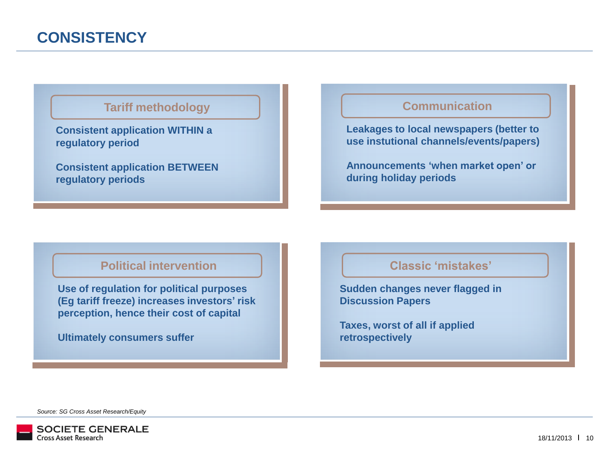#### **Tariff methodology**

**Consistent application WITHIN a regulatory period**

**Consistent application BETWEEN regulatory periods**

### **Communication**

**Leakages to local newspapers (better to use instutional channels/events/papers)**

**Announcements 'when market open' or during holiday periods**

#### **Political intervention**

**Use of regulation for political purposes (Eg tariff freeze) increases investors' risk perception, hence their cost of capital**

**Ultimately consumers suffer**

#### **Classic 'mistakes'**

**Sudden changes never flagged in Discussion Papers**

**Taxes, worst of all if applied retrospectively**

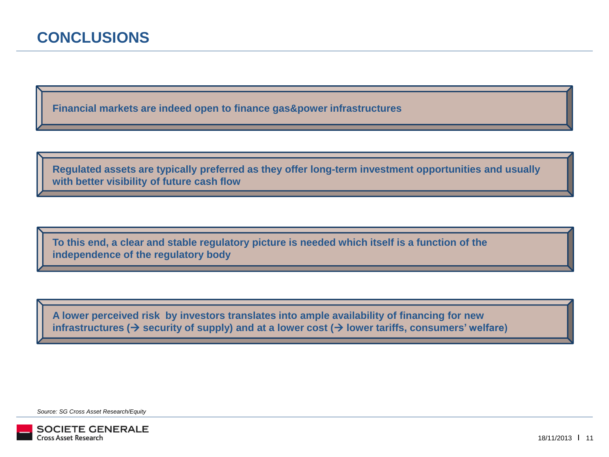**Financial markets are indeed open to finance gas&power infrastructures**

**Regulated assets are typically preferred as they offer long-term investment opportunities and usually with better visibility of future cash flow**

**To this end, a clear and stable regulatory picture is needed which itself is a function of the independence of the regulatory body**

**A lower perceived risk by investors translates into ample availability of financing for new infrastructures** ( $\rightarrow$  security of supply) and at a lower cost ( $\rightarrow$  lower tariffs, consumers' welfare)

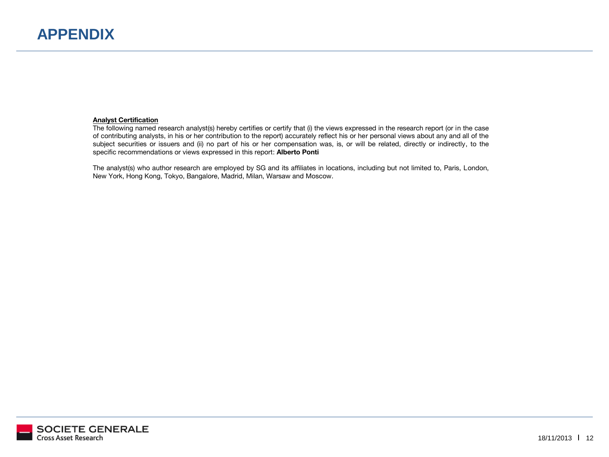**Analyst Certification**  The following named research analyst(s) hereby certifies or certify that (i) the views expressed in the research report (or in the case of contributing analysts, in his or her contribution to the report) accurately reflect his or her personal views about any and all of the subject securities or issuers and (ii) no part of his or her compensation was, is, or will be related, directly or indirectly, to the specific recommendations or views expressed in this report: **Alberto Ponti**

The analyst(s) who author research are employed by SG and its affiliates in locations, including but not limited to, Paris, London, New York, Hong Kong, Tokyo, Bangalore, Madrid, Milan, Warsaw and Moscow.

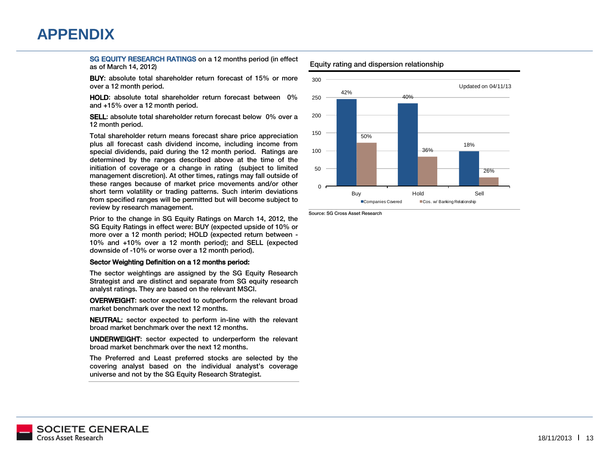# **APPENDIX**

SG EQUITY RESEARCH RATINGS on a 12 months period (in effect as of March 14, 2012)

BUY: absolute total shareholder return forecast of 15% or more over a 12 month period.

HOLD: absolute total shareholder return forecast between 0% and  $+15\%$  over a 12 month period.

**SELL:** absolute total shareholder return forecast below 0% over a 12 month period.

Total shareholder return means forecast share price appreciation plus all forecast cash dividend income, including income from special dividends, paid during the 12 month period. Ratings are determined by the ranges described above at the time of the initiation of coverage or a change in rating (subject to limited management discretion). At other times, ratings may fall outside of these ranges because of market price movements and/or other short term volatility or trading patterns. Such interim deviations from specified ranges will be permitted but will become subject to review by research management.

Prior to the change in SG Equity Ratings on March 14, 2012, the SG Equity Ratings in effect were: BUY (expected upside of 10% or more over a 12 month period; HOLD (expected return between - $10\%$  and  $+10\%$  over a 12 month period); and SELL (expected downside of -10% or worse over a 12 month period).

#### Sector Weighting Definition on a 12 months period:

The sector weightings are assigned by the SG Equity Research Strategist and are distinct and separate from SG equity research analyst ratings. They are based on the relevant MSCI.

OVERWEIGHT: sector expected to outperform the relevant broad market benchmark over the next 12 months.

NEUTRAL: sector expected to perform in-line with the relevant broad market benchmark over the next 12 months.

**UNDERWEIGHT:** sector expected to underperform the relevant broad market benchmark over the next 12 months.

The Preferred and Least preferred stocks are selected by the covering analyst based on the individual analyst's coverage universe and not by the SG Equity Research Strategist. universe and not by the SG Equity Research Strategist.



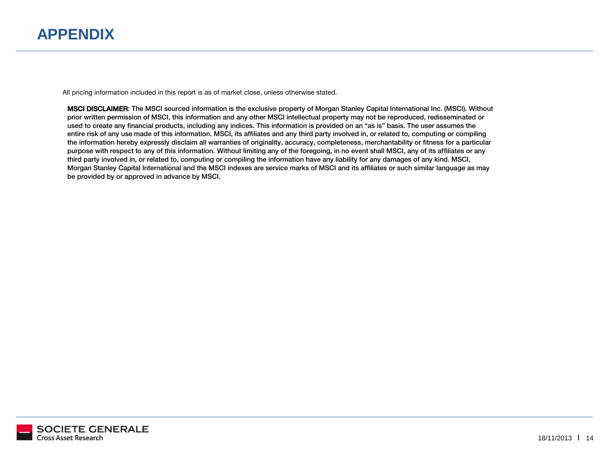# **APPENDIX**

All pricing information included in this report is as of market close, unless otherwise stated.

MSCI DISCLAIMER: The MSCI sourced information is the exclusive property of Morgan Stanley Capital International Inc. (MSCI). Without prior written permission of MSCI, this information and any other MSCI intellectual proper used to create any financial products, including any indices. This information is provided on an "as is" basis. The user assumes the entire risk of any use made of this information. MSCI, its affiliates and any third party involved in, or related to, computing or compiling the information hereby expressly disclaim all warranties of originality, accuracy, completeness, merchantability or fitness for a particular purpose with respect to any of this information. Without limiting any of the foregoing, in no event shall MSCI, any of its affiliates or any third party involved in, or related to, computing or compiling the information have any liability for any damages of any kind. MSCI, Morgan Stanley Capital International and the MSCI indexes are service marks of MSCI and its affiliates or such similar language as may morgan Stanley Capital International and the MSCI indexes are service marks of MSCI indexes are service marks of MSCI and its affiliates or such similar language as may be provided by or approved in advance by MSCI.

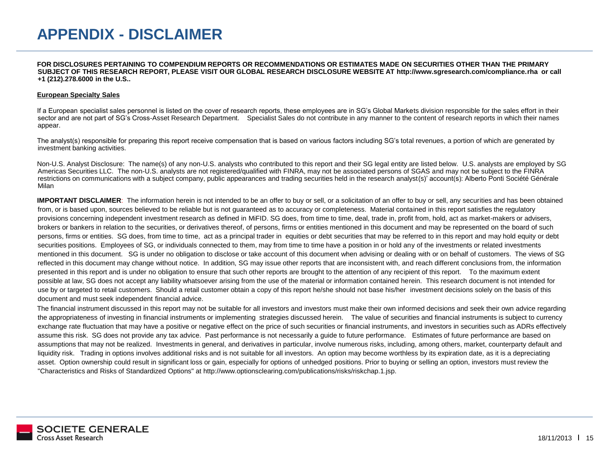**FOR DISCLOSURES PERTAINING TO COMPENDIUM REPORTS OR RECOMMENDATIONS OR ESTIMATES MADE ON SECURITIES OTHER THAN THE PRIMARY SUBJECT OF THIS RESEARCH REPORT, PLEASE VISIT OUR GLOBAL RESEARCH DISCLOSURE WEBSITE AT http://www.sgresearch.com/compliance.rha or call +1 (212).278.6000 in the U.S..**

#### **European Specialty Sales**

If a European specialist sales personnel is listed on the cover of research reports, these employees are in SG's Global Markets division responsible for the sales effort in their sector and are not part of SG's Cross-Asset Research Department. Specialist Sales do not contribute in any manner to the content of research reports in which their names appear.

The analyst(s) responsible for preparing this report receive compensation that is based on various factors including SG's total revenues, a portion of which are generated by investment banking activities.

Non-U.S. Analyst Disclosure: The name(s) of any non-U.S. analysts who contributed to this report and their SG legal entity are listed below. U.S. analysts are employed by SG Americas Securities LLC. The non-U.S. analysts are not registered/qualified with FINRA, may not be associated persons of SGAS and may not be subject to the FINRA restrictions on communications with a subject company, public appearances and trading securities held in the research analyst(s)' account(s): Alberto Ponti Société Générale Milan

**IMPORTANT DISCLAIMER**: The information herein is not intended to be an offer to buy or sell, or a solicitation of an offer to buy or sell, any securities and has been obtained from, or is based upon, sources believed to be reliable but is not guaranteed as to accuracy or completeness. Material contained in this report satisfies the regulatory provisions concerning independent investment research as defined in MiFID. SG does, from time to time, deal, trade in, profit from, hold, act as market-makers or advisers, brokers or bankers in relation to the securities, or derivatives thereof, of persons, firms or entities mentioned in this document and may be represented on the board of such persons, firms or entities. SG does, from time to time, act as a principal trader in equities or debt securities that may be referred to in this report and may hold equity or debt securities positions. Employees of SG, or individuals connected to them, may from time to time have a position in or hold any of the investments or related investments mentioned in this document. SG is under no obligation to disclose or take account of this document when advising or dealing with or on behalf of customers. The views of SG reflected in this document may change without notice. In addition, SG may issue other reports that are inconsistent with, and reach different conclusions from, the information presented in this report and is under no obligation to ensure that such other reports are brought to the attention of any recipient of this report. To the maximum extent possible at law, SG does not accept any liability whatsoever arising from the use of the material or information contained herein. This research document is not intended for use by or targeted to retail customers. Should a retail customer obtain a copy of this report he/she should not base his/her investment decisions solely on the basis of this document and must seek independent financial advice.

The financial instrument discussed in this report may not be suitable for all investors and investors must make their own informed decisions and seek their own advice regarding the appropriateness of investing in financial instruments or implementing strategies discussed herein. The value of securities and financial instruments is subject to currency exchange rate fluctuation that may have a positive or negative effect on the price of such securities or financial instruments, and investors in securities such as ADRs effectively assume this risk. SG does not provide any tax advice. Past performance is not necessarily a quide to future performance. Estimates of future performance are based on assumptions that may not be realized. Investments in general, and derivatives in particular, involve numerous risks, including, among others, market, counterparty default and liquidity risk. Trading in options involves additional risks and is not suitable for all investors. An option may become worthless by its expiration date, as it is a depreciating asset. Option ownership could result in significant loss or gain, especially for options of unhedged positions. Prior to buying or selling an option, investors must review the "Characteristics and Risks of Standardized Options" at http://www.optionsclearing.com/publications/risks/riskchap.1.jsp.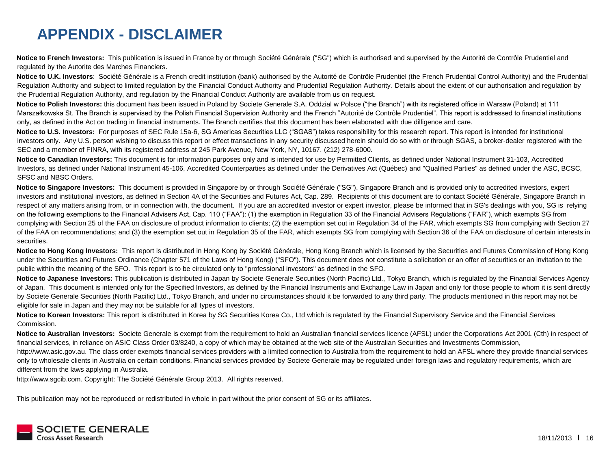# **APPENDIX - DISCLAIMER**

**Notice to French Investors:** This publication is issued in France by or through Société Générale ("SG") which is authorised and supervised by the Autorité de Contrôle Prudentiel and regulated by the Autorite des Marches Financiers.

Notice to U.K. Investors: Société Générale is a French credit institution (bank) authorised by the Autorité de Contrôle Prudentiel (the French Prudential Control Authority) and the Prudential Regulation Authority and subject to limited regulation by the Financial Conduct Authority and Prudential Regulation Authority. Details about the extent of our authorisation and regulation by the Prudential Regulation Authority, and regulation by the Financial Conduct Authority are available from us on request.

**Notice to Polish Investors:** this document has been issued in Poland by Societe Generale S.A. Oddzial w Polsce ("the Branch") with its registered office in Warsaw (Poland) at 111 Marszałkowska St. The Branch is supervised by the Polish Financial Supervision Authority and the French "Autorité de Contrôle Prudentiel". This report is addressed to financial institutions only, as defined in the Act on trading in financial instruments. The Branch certifies that this document has been elaborated with due dilligence and care.

**Notice to U.S. Investors:** For purposes of SEC Rule 15a-6, SG Americas Securities LLC ("SGAS") takes responsibility for this research report. This report is intended for institutional investors only. Any U.S. person wishing to discuss this report or effect transactions in any security discussed herein should do so with or through SGAS, a broker-dealer registered with the SEC and a member of FINRA, with its registered address at 245 Park Avenue, New York, NY, 10167. (212) 278-6000.

Notice to Canadian Investors: This document is for information purposes only and is intended for use by Permitted Clients, as defined under National Instrument 31-103, Accredited Investors, as defined under National Instrument 45-106, Accredited Counterparties as defined under the Derivatives Act (Québec) and "Qualified Parties" as defined under the ASC, BCSC, SFSC and NBSC Orders.

**Notice to Singapore Investors:** This document is provided in Singapore by or through Société Générale ("SG"), Singapore Branch and is provided only to accredited investors, expert investors and institutional investors, as defined in Section 4A of the Securities and Futures Act, Cap. 289. Recipients of this document are to contact Société Générale, Singapore Branch in respect of any matters arising from, or in connection with, the document. If you are an accredited investor or expert investor, please be informed that in SG's dealings with you, SG is relying on the following exemptions to the Financial Advisers Act, Cap. 110 ("FAA"): (1) the exemption in Regulation 33 of the Financial Advisers Regulations ("FAR"), which exempts SG from complying with Section 25 of the FAA on disclosure of product information to clients; (2) the exemption set out in Regulation 34 of the FAR, which exempts SG from complying with Section 27 of the FAA on recommendations; and (3) the exemption set out in Regulation 35 of the FAR, which exempts SG from complying with Section 36 of the FAA on disclosure of certain interests in securities.

Notice to Hong Kong Investors: This report is distributed in Hong Kong by Société Générale, Hong Kong Branch which is licensed by the Securities and Futures Commission of Hong Kong under the Securities and Futures Ordinance (Chapter 571 of the Laws of Hong Kong) ("SFO"). This document does not constitute a solicitation or an offer of securities or an invitation to the public within the meaning of the SFO. This report is to be circulated only to "professional investors" as defined in the SFO.

Notice to Japanese Investors: This publication is distributed in Japan by Societe Generale Securities (North Pacific) Ltd., Tokyo Branch, which is regulated by the Financial Services Agency of Japan. This document is intended only for the Specified Investors, as defined by the Financial Instruments and Exchange Law in Japan and only for those people to whom it is sent directly by Societe Generale Securities (North Pacific) Ltd., Tokyo Branch, and under no circumstances should it be forwarded to any third party. The products mentioned in this report may not be eligible for sale in Japan and they may not be suitable for all types of investors.

Notice to Korean Investors: This report is distributed in Korea by SG Securities Korea Co., Ltd which is regulated by the Financial Supervisory Service and the Financial Services Commission.

Notice to Australian Investors: Societe Generale is exempt from the requirement to hold an Australian financial services licence (AFSL) under the Corporations Act 2001 (Cth) in respect of financial services, in reliance on ASIC Class Order 03/8240, a copy of which may be obtained at the web site of the Australian Securities and Investments Commission, http://www.asic.gov.au. The class order exempts financial services providers with a limited connection to Australia from the requirement to hold an AFSL where they provide financial services only to wholesale clients in Australia on certain conditions. Financial services provided by Societe Generale may be regulated under foreign laws and regulatory requirements, which are different from the laws applying in Australia.

http://www.sgcib.com. Copyright: The Société Générale Group 2013. All rights reserved.

This publication may not be reproduced or redistributed in whole in part without the prior consent of SG or its affiliates.